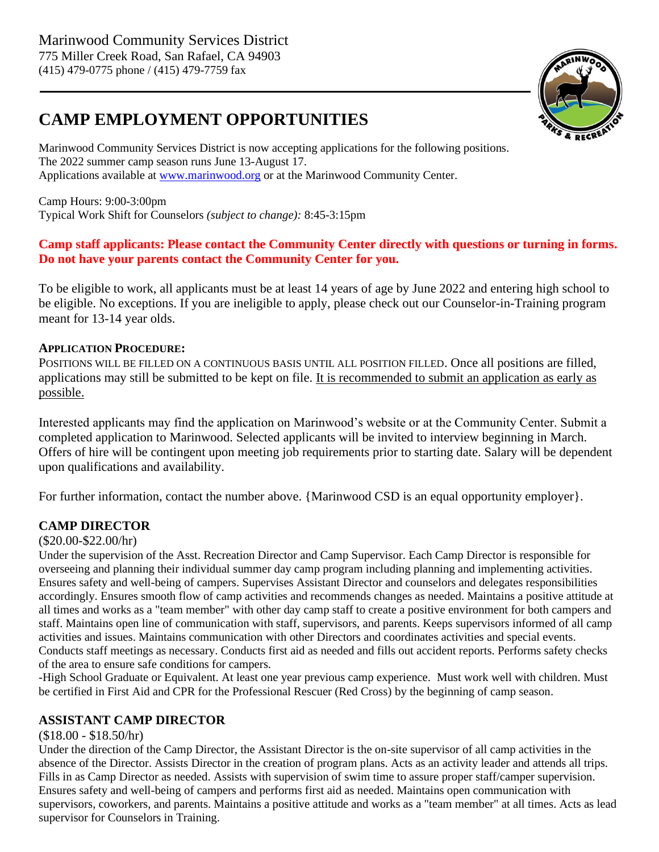### **CAMP EMPLOYMENT OPPORTUNITIES**



Marinwood Community Services District is now accepting applications for the following positions. The 2022 summer camp season runs June 13-August 17. Applications available at [www.marinwood.org](http://www.marinwood.org/) or at the Marinwood Community Center.

Camp Hours: 9:00-3:00pm Typical Work Shift for Counselors *(subject to change):* 8:45-3:15pm

### **Camp staff applicants: Please contact the Community Center directly with questions or turning in forms. Do not have your parents contact the Community Center for you.**

To be eligible to work, all applicants must be at least 14 years of age by June 2022 and entering high school to be eligible. No exceptions. If you are ineligible to apply, please check out our Counselor-in-Training program meant for 13-14 year olds.

### **APPLICATION PROCEDURE:**

POSITIONS WILL BE FILLED ON A CONTINUOUS BASIS UNTIL ALL POSITION FILLED. Once all positions are filled, applications may still be submitted to be kept on file. It is recommended to submit an application as early as possible.

Interested applicants may find the application on Marinwood's website or at the Community Center. Submit a completed application to Marinwood. Selected applicants will be invited to interview beginning in March. Offers of hire will be contingent upon meeting job requirements prior to starting date. Salary will be dependent upon qualifications and availability.

For further information, contact the number above. {Marinwood CSD is an equal opportunity employer}.

### **CAMP DIRECTOR**

### (\$20.00-\$22.00/hr)

Under the supervision of the Asst. Recreation Director and Camp Supervisor. Each Camp Director is responsible for overseeing and planning their individual summer day camp program including planning and implementing activities. Ensures safety and well-being of campers. Supervises Assistant Director and counselors and delegates responsibilities accordingly. Ensures smooth flow of camp activities and recommends changes as needed. Maintains a positive attitude at all times and works as a "team member" with other day camp staff to create a positive environment for both campers and staff. Maintains open line of communication with staff, supervisors, and parents. Keeps supervisors informed of all camp activities and issues. Maintains communication with other Directors and coordinates activities and special events. Conducts staff meetings as necessary. Conducts first aid as needed and fills out accident reports. Performs safety checks of the area to ensure safe conditions for campers.

-High School Graduate or Equivalent. At least one year previous camp experience. Must work well with children. Must be certified in First Aid and CPR for the Professional Rescuer (Red Cross) by the beginning of camp season.

### **ASSISTANT CAMP DIRECTOR**

### (\$18.00 - \$18.50/hr)

Under the direction of the Camp Director, the Assistant Director is the on-site supervisor of all camp activities in the absence of the Director. Assists Director in the creation of program plans. Acts as an activity leader and attends all trips. Fills in as Camp Director as needed. Assists with supervision of swim time to assure proper staff/camper supervision. Ensures safety and well-being of campers and performs first aid as needed. Maintains open communication with supervisors, coworkers, and parents. Maintains a positive attitude and works as a "team member" at all times. Acts as lead supervisor for Counselors in Training.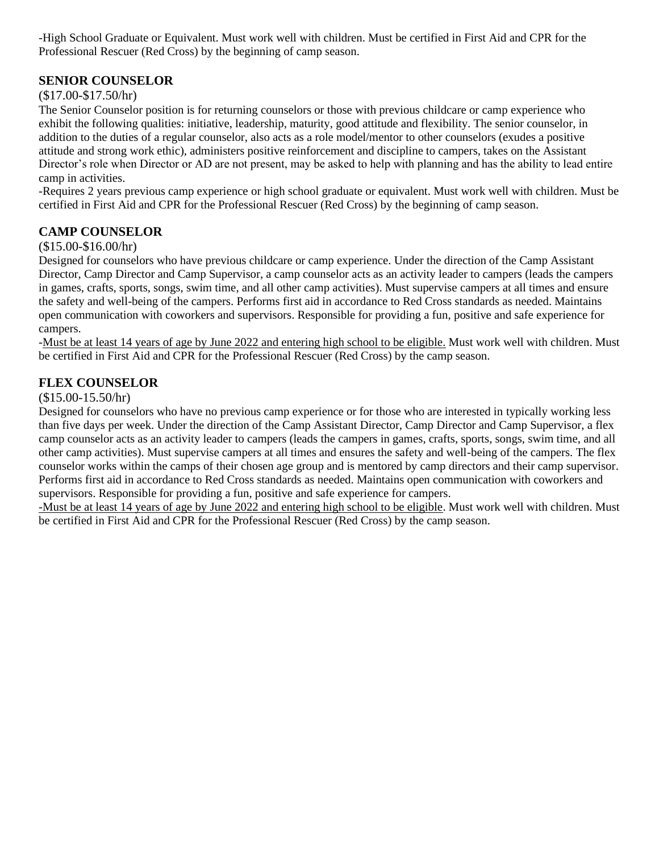-High School Graduate or Equivalent. Must work well with children. Must be certified in First Aid and CPR for the Professional Rescuer (Red Cross) by the beginning of camp season.

### **SENIOR COUNSELOR**

#### (\$17.00-\$17.50/hr)

The Senior Counselor position is for returning counselors or those with previous childcare or camp experience who exhibit the following qualities: initiative, leadership, maturity, good attitude and flexibility. The senior counselor, in addition to the duties of a regular counselor, also acts as a role model/mentor to other counselors (exudes a positive attitude and strong work ethic), administers positive reinforcement and discipline to campers, takes on the Assistant Director's role when Director or AD are not present, may be asked to help with planning and has the ability to lead entire camp in activities.

-Requires 2 years previous camp experience or high school graduate or equivalent. Must work well with children. Must be certified in First Aid and CPR for the Professional Rescuer (Red Cross) by the beginning of camp season.

### **CAMP COUNSELOR**

#### (\$15.00-\$16.00/hr)

Designed for counselors who have previous childcare or camp experience. Under the direction of the Camp Assistant Director, Camp Director and Camp Supervisor, a camp counselor acts as an activity leader to campers (leads the campers in games, crafts, sports, songs, swim time, and all other camp activities). Must supervise campers at all times and ensure the safety and well-being of the campers. Performs first aid in accordance to Red Cross standards as needed. Maintains open communication with coworkers and supervisors. Responsible for providing a fun, positive and safe experience for campers.

-Must be at least 14 years of age by June 2022 and entering high school to be eligible. Must work well with children. Must be certified in First Aid and CPR for the Professional Rescuer (Red Cross) by the camp season.

### **FLEX COUNSELOR**

#### (\$15.00-15.50/hr)

Designed for counselors who have no previous camp experience or for those who are interested in typically working less than five days per week. Under the direction of the Camp Assistant Director, Camp Director and Camp Supervisor, a flex camp counselor acts as an activity leader to campers (leads the campers in games, crafts, sports, songs, swim time, and all other camp activities). Must supervise campers at all times and ensures the safety and well-being of the campers. The flex counselor works within the camps of their chosen age group and is mentored by camp directors and their camp supervisor. Performs first aid in accordance to Red Cross standards as needed. Maintains open communication with coworkers and supervisors. Responsible for providing a fun, positive and safe experience for campers.

-Must be at least 14 years of age by June 2022 and entering high school to be eligible. Must work well with children. Must be certified in First Aid and CPR for the Professional Rescuer (Red Cross) by the camp season.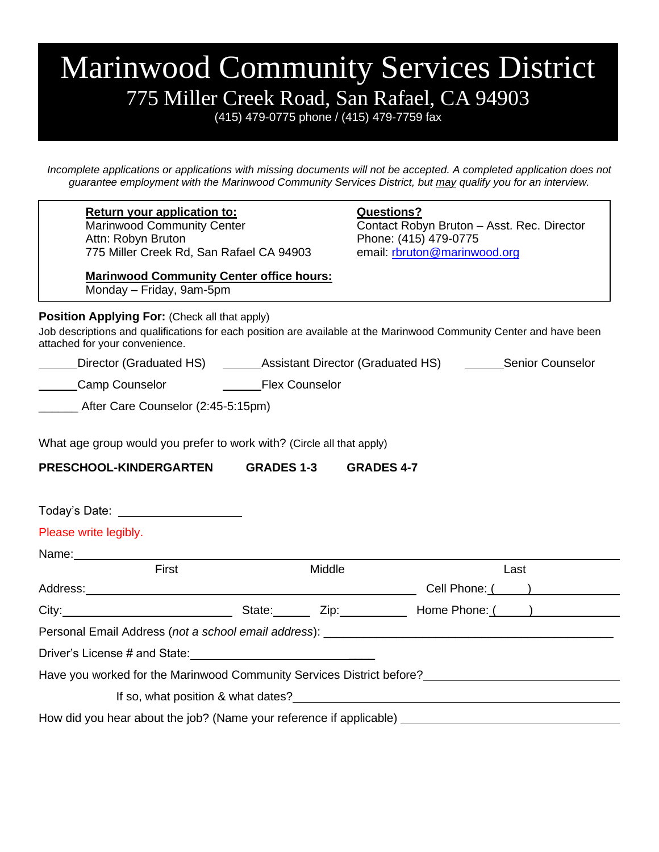## Marinwood Community Services District 775 Miller Creek Road, San Rafael, CA 94903

(415) 479-0775 phone / (415) 479-7759 fax

*Incomplete applications or applications with missing documents will not be accepted. A completed application does not guarantee employment with the Marinwood Community Services District, but may qualify you for an interview.*

| Return your application to:<br><b>Marinwood Community Center</b><br>Attn: Robyn Bruton<br>775 Miller Creek Rd, San Rafael CA 94903                                                                                             |                   | <b>Questions?</b><br>Contact Robyn Bruton - Asst. Rec. Director<br>Phone: (415) 479-0775<br>email: rbruton@marinwood.org                                                                                                      |  |  |
|--------------------------------------------------------------------------------------------------------------------------------------------------------------------------------------------------------------------------------|-------------------|-------------------------------------------------------------------------------------------------------------------------------------------------------------------------------------------------------------------------------|--|--|
| <b>Marinwood Community Center office hours:</b><br>Monday - Friday, 9am-5pm                                                                                                                                                    |                   |                                                                                                                                                                                                                               |  |  |
| Position Applying For: (Check all that apply)<br>attached for your convenience.                                                                                                                                                |                   | Job descriptions and qualifications for each position are available at the Marinwood Community Center and have been                                                                                                           |  |  |
|                                                                                                                                                                                                                                |                   | Director (Graduated HS) _______Assistant Director (Graduated HS) ________Senior Counselor                                                                                                                                     |  |  |
| Camp Counselor <b>COUNGER</b> Flex Counselor                                                                                                                                                                                   |                   |                                                                                                                                                                                                                               |  |  |
| After Care Counselor (2:45-5:15pm)                                                                                                                                                                                             |                   |                                                                                                                                                                                                                               |  |  |
| PRESCHOOL-KINDERGARTEN<br>Today's Date: ______________________                                                                                                                                                                 | <b>GRADES 1-3</b> | <b>GRADES 4-7</b>                                                                                                                                                                                                             |  |  |
| Please write legibly.                                                                                                                                                                                                          |                   |                                                                                                                                                                                                                               |  |  |
| Name: We have a state of the state of the state of the state of the state of the state of the state of the state of the state of the state of the state of the state of the state of the state of the state of the state of th |                   |                                                                                                                                                                                                                               |  |  |
| First                                                                                                                                                                                                                          | Middle            | Last                                                                                                                                                                                                                          |  |  |
|                                                                                                                                                                                                                                |                   |                                                                                                                                                                                                                               |  |  |
|                                                                                                                                                                                                                                |                   | City: City: City: City: City: City: City: City: City: City: City: City: City: City: City: City: City: City: City: City: City: City: City: City: City: City: City: City: City: City: City: City: City: City: City: City: City: |  |  |
|                                                                                                                                                                                                                                |                   |                                                                                                                                                                                                                               |  |  |
|                                                                                                                                                                                                                                |                   |                                                                                                                                                                                                                               |  |  |
|                                                                                                                                                                                                                                |                   |                                                                                                                                                                                                                               |  |  |
|                                                                                                                                                                                                                                |                   |                                                                                                                                                                                                                               |  |  |
|                                                                                                                                                                                                                                |                   | If so, what position & what dates?<br>If so, what position & what dates?                                                                                                                                                      |  |  |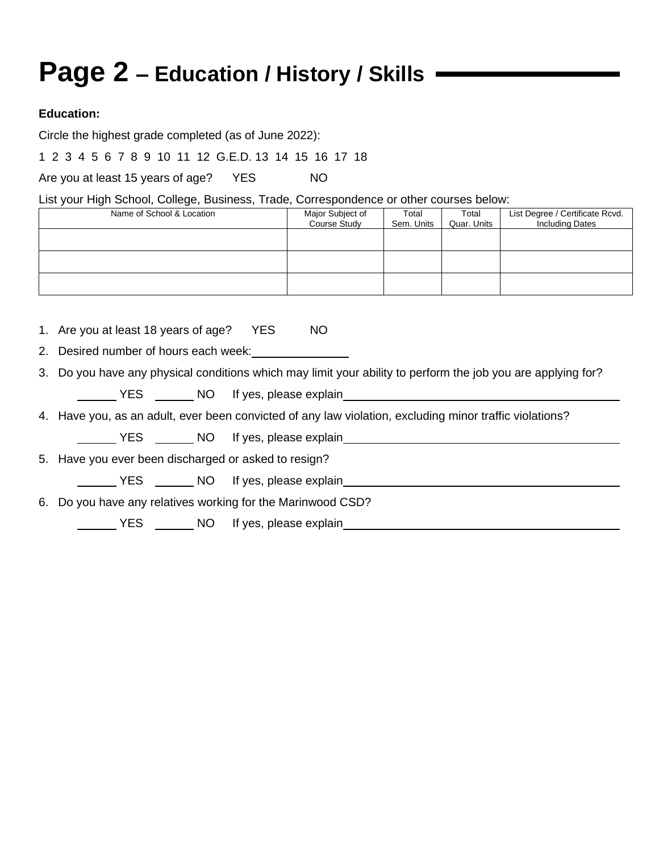# **Page 2 – Education / History / Skills**

### **Education:**

Circle the highest grade completed (as of June 2022):

1 2 3 4 5 6 7 8 9 10 11 12 G.E.D. 13 14 15 16 17 18

Are you at least 15 years of age? YES NO

List your High School, College, Business, Trade, Correspondence or other courses below:

| Name of School & Location | Major Subject of<br>Course Study | Total<br>Sem. Units | Total<br>Quar. Units | List Degree / Certificate Rcvd.<br><b>Including Dates</b> |
|---------------------------|----------------------------------|---------------------|----------------------|-----------------------------------------------------------|
|                           |                                  |                     |                      |                                                           |
|                           |                                  |                     |                      |                                                           |
|                           |                                  |                     |                      |                                                           |

1. Are you at least 18 years of age? YES NO

2. Desired number of hours each week:

3. Do you have any physical conditions which may limit your ability to perform the job you are applying for?

YES NO If yes, please explain

4. Have you, as an adult, ever been convicted of any law violation, excluding minor traffic violations?

NO If yes, please explain example to the state of the No If yes, please explain

5. Have you ever been discharged or asked to resign?

VES \_\_\_\_\_\_\_ NO If yes, please explain\_\_\_\_\_\_\_\_\_\_\_

6. Do you have any relatives working for the Marinwood CSD?

The YES NO If yes, please explain the state of the SNS of the SNS of the SNS of the SNS of the SNS of the SNS of the SNS of the SNS of the SNS of the SNS of the SNS of the SNS of the SNS of the SNS of the SNS of the SNS of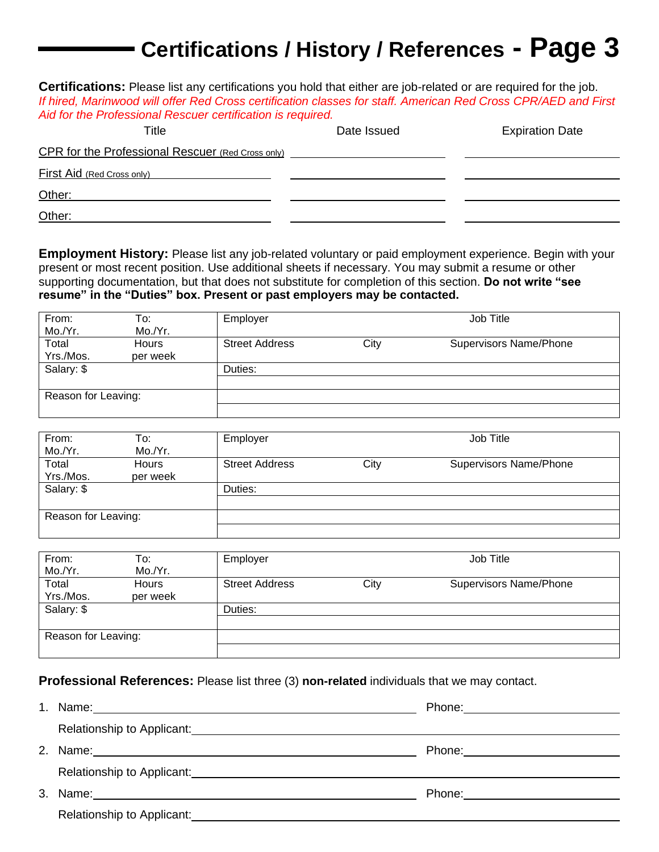### **Certifications / History / References - Page 3**

**Certifications:** Please list any certifications you hold that either are job-related or are required for the job. *If hired, Marinwood will offer Red Cross certification classes for staff. American Red Cross CPR/AED and First Aid for the Professional Rescuer certification is required.*

| Title                                             | Date Issued | <b>Expiration Date</b> |
|---------------------------------------------------|-------------|------------------------|
| CPR for the Professional Rescuer (Red Cross only) |             |                        |
| First Aid (Red Cross only)                        |             |                        |
| Other:                                            |             |                        |
| Other:                                            |             |                        |

**Employment History:** Please list any job-related voluntary or paid employment experience. Begin with your present or most recent position. Use additional sheets if necessary. You may submit a resume or other supporting documentation, but that does not substitute for completion of this section. **Do not write "see resume" in the "Duties" box. Present or past employers may be contacted.**

| From:               | To:                      | Employer              |      | Job Title                     |
|---------------------|--------------------------|-----------------------|------|-------------------------------|
| Mo./Yr.             | Mo./Yr.                  |                       |      |                               |
| Total<br>Yrs./Mos.  | <b>Hours</b><br>per week | <b>Street Address</b> | City | <b>Supervisors Name/Phone</b> |
| Salary: \$          |                          | Duties:               |      |                               |
|                     |                          |                       |      |                               |
| Reason for Leaving: |                          |                       |      |                               |
|                     |                          |                       |      |                               |

| From:<br>Mo./Yr.    | To:<br>Mo./Yr.           | Employer              |      | Job Title                     |
|---------------------|--------------------------|-----------------------|------|-------------------------------|
| Total<br>Yrs./Mos.  | <b>Hours</b><br>per week | <b>Street Address</b> | City | <b>Supervisors Name/Phone</b> |
| Salary: \$          |                          | Duties:               |      |                               |
| Reason for Leaving: |                          |                       |      |                               |

| From:<br>Mo./Yr.    | To:<br>Mo./Yr.           | Employer              |      | Job Title                     |
|---------------------|--------------------------|-----------------------|------|-------------------------------|
| Total<br>Yrs./Mos.  | <b>Hours</b><br>per week | <b>Street Address</b> | City | <b>Supervisors Name/Phone</b> |
| Salary: \$          |                          | Duties:               |      |                               |
| Reason for Leaving: |                          |                       |      |                               |

### **Professional References:** Please list three (3) **non-related** individuals that we may contact.

|    | Name: 2008. 2009. 2009. 2009. 2012. 2013. 2014. 2015. 2016. 2017. 2018. 2019. 2019. 2016. 2017. 2017. 2017. 20                                                                                                                 |                                 |
|----|--------------------------------------------------------------------------------------------------------------------------------------------------------------------------------------------------------------------------------|---------------------------------|
|    |                                                                                                                                                                                                                                |                                 |
| 2. |                                                                                                                                                                                                                                | Phone: <u>_________________</u> |
|    |                                                                                                                                                                                                                                |                                 |
| 3. |                                                                                                                                                                                                                                | Phone: _______________________  |
|    | Relationship to Applicant: Network and the set of the set of the set of the set of the set of the set of the set of the set of the set of the set of the set of the set of the set of the set of the set of the set of the set |                                 |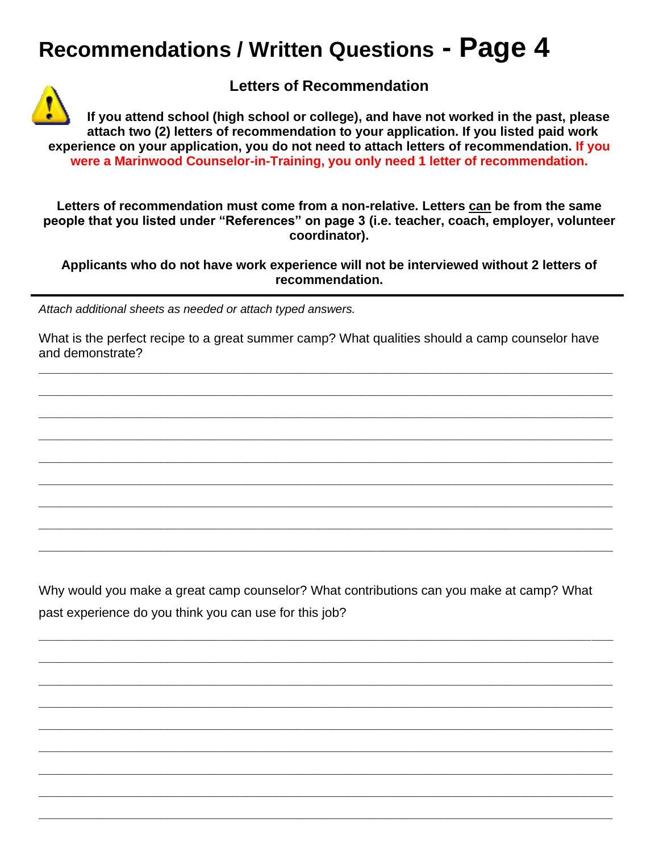### **Recommendations / Written Questions - Page 4**



**Letters of Recommendation**

**If you attend school (high school or college), and have not worked in the past, please attach two (2) letters of recommendation to your application. If you listed paid work experience on your application, you do not need to attach letters of recommendation. If you were a Marinwood Counselor-in-Training, you only need 1 letter of recommendation.**

**Letters of recommendation must come from a non-relative. Letters can be from the same people that you listed under "References" on page 3 (i.e. teacher, coach, employer, volunteer coordinator).**

**Applicants who do not have work experience will not be interviewed without 2 letters of recommendation.**

*Attach additional sheets as needed or attach typed answers.*

What is the perfect recipe to a great summer camp? What qualities should a camp counselor have and demonstrate?

**\_\_\_\_\_\_\_\_\_\_\_\_\_\_\_\_\_\_\_\_\_\_\_\_\_\_\_\_\_\_\_\_\_\_\_\_\_\_\_\_\_\_\_\_\_\_\_\_\_\_\_\_\_\_\_\_\_\_\_\_\_\_\_\_\_\_\_\_\_\_\_\_\_\_\_\_\_\_\_\_**

**\_\_\_\_\_\_\_\_\_\_\_\_\_\_\_\_\_\_\_\_\_\_\_\_\_\_\_\_\_\_\_\_\_\_\_\_\_\_\_\_\_\_\_\_\_\_\_\_\_\_\_\_\_\_\_\_\_\_\_\_\_\_\_\_\_\_\_\_\_\_\_\_\_\_\_\_\_\_\_\_**

**\_\_\_\_\_\_\_\_\_\_\_\_\_\_\_\_\_\_\_\_\_\_\_\_\_\_\_\_\_\_\_\_\_\_\_\_\_\_\_\_\_\_\_\_\_\_\_\_\_\_\_\_\_\_\_\_\_\_\_\_\_\_\_\_\_\_\_\_\_\_\_\_\_\_\_\_\_\_\_\_**

**\_\_\_\_\_\_\_\_\_\_\_\_\_\_\_\_\_\_\_\_\_\_\_\_\_\_\_\_\_\_\_\_\_\_\_\_\_\_\_\_\_\_\_\_\_\_\_\_\_\_\_\_\_\_\_\_\_\_\_\_\_\_\_\_\_\_\_\_\_\_\_\_\_\_\_\_\_\_\_\_**

**\_\_\_\_\_\_\_\_\_\_\_\_\_\_\_\_\_\_\_\_\_\_\_\_\_\_\_\_\_\_\_\_\_\_\_\_\_\_\_\_\_\_\_\_\_\_\_\_\_\_\_\_\_\_\_\_\_\_\_\_\_\_\_\_\_\_\_\_\_\_\_\_\_\_\_\_\_\_\_\_**

**\_\_\_\_\_\_\_\_\_\_\_\_\_\_\_\_\_\_\_\_\_\_\_\_\_\_\_\_\_\_\_\_\_\_\_\_\_\_\_\_\_\_\_\_\_\_\_\_\_\_\_\_\_\_\_\_\_\_\_\_\_\_\_\_\_\_\_\_\_\_\_\_\_\_\_\_\_\_\_\_**

**\_\_\_\_\_\_\_\_\_\_\_\_\_\_\_\_\_\_\_\_\_\_\_\_\_\_\_\_\_\_\_\_\_\_\_\_\_\_\_\_\_\_\_\_\_\_\_\_\_\_\_\_\_\_\_\_\_\_\_\_\_\_\_\_\_\_\_\_\_\_\_\_\_\_\_\_\_\_\_\_**

**\_\_\_\_\_\_\_\_\_\_\_\_\_\_\_\_\_\_\_\_\_\_\_\_\_\_\_\_\_\_\_\_\_\_\_\_\_\_\_\_\_\_\_\_\_\_\_\_\_\_\_\_\_\_\_\_\_\_\_\_\_\_\_\_\_\_\_\_\_\_\_\_\_\_\_\_\_\_\_\_**

**\_\_\_\_\_\_\_\_\_\_\_\_\_\_\_\_\_\_\_\_\_\_\_\_\_\_\_\_\_\_\_\_\_\_\_\_\_\_\_\_\_\_\_\_\_\_\_\_\_\_\_\_\_\_\_\_\_\_\_\_\_\_\_\_\_\_\_\_\_\_\_\_\_\_\_\_\_\_\_\_**

Why would you make a great camp counselor? What contributions can you make at camp? What past experience do you think you can use for this job?

**\_\_\_\_\_\_\_\_\_\_\_\_\_\_\_\_\_\_\_\_\_\_\_\_\_\_\_\_\_\_\_\_\_\_\_\_\_\_\_\_\_\_\_\_\_\_\_\_\_\_\_\_\_\_\_\_\_\_\_\_\_\_\_\_\_\_\_\_\_\_\_\_\_\_\_\_\_\_\_\_**

**\_\_\_\_\_\_\_\_\_\_\_\_\_\_\_\_\_\_\_\_\_\_\_\_\_\_\_\_\_\_\_\_\_\_\_\_\_\_\_\_\_\_\_\_\_\_\_\_\_\_\_\_\_\_\_\_\_\_\_\_\_\_\_\_\_\_\_\_\_\_\_\_\_\_\_\_\_\_\_\_**

**\_\_\_\_\_\_\_\_\_\_\_\_\_\_\_\_\_\_\_\_\_\_\_\_\_\_\_\_\_\_\_\_\_\_\_\_\_\_\_\_\_\_\_\_\_\_\_\_\_\_\_\_\_\_\_\_\_\_\_\_\_\_\_\_\_\_\_\_\_\_\_\_\_\_\_\_\_\_\_\_**

**\_\_\_\_\_\_\_\_\_\_\_\_\_\_\_\_\_\_\_\_\_\_\_\_\_\_\_\_\_\_\_\_\_\_\_\_\_\_\_\_\_\_\_\_\_\_\_\_\_\_\_\_\_\_\_\_\_\_\_\_\_\_\_\_\_\_\_\_\_\_\_\_\_\_\_\_\_\_\_\_**

**\_\_\_\_\_\_\_\_\_\_\_\_\_\_\_\_\_\_\_\_\_\_\_\_\_\_\_\_\_\_\_\_\_\_\_\_\_\_\_\_\_\_\_\_\_\_\_\_\_\_\_\_\_\_\_\_\_\_\_\_\_\_\_\_\_\_\_\_\_\_\_\_\_\_\_\_\_\_\_\_**

**\_\_\_\_\_\_\_\_\_\_\_\_\_\_\_\_\_\_\_\_\_\_\_\_\_\_\_\_\_\_\_\_\_\_\_\_\_\_\_\_\_\_\_\_\_\_\_\_\_\_\_\_\_\_\_\_\_\_\_\_\_\_\_\_\_\_\_\_\_\_\_\_\_\_\_\_\_\_\_\_**

**\_\_\_\_\_\_\_\_\_\_\_\_\_\_\_\_\_\_\_\_\_\_\_\_\_\_\_\_\_\_\_\_\_\_\_\_\_\_\_\_\_\_\_\_\_\_\_\_\_\_\_\_\_\_\_\_\_\_\_\_\_\_\_\_\_\_\_\_\_\_\_\_\_\_\_\_\_\_\_\_**

**\_\_\_\_\_\_\_\_\_\_\_\_\_\_\_\_\_\_\_\_\_\_\_\_\_\_\_\_\_\_\_\_\_\_\_\_\_\_\_\_\_\_\_\_\_\_\_\_\_\_\_\_\_\_\_\_\_\_\_\_\_\_\_\_\_\_\_\_\_\_\_\_\_\_\_\_\_\_\_\_**

**\_\_\_\_\_\_\_\_\_\_\_\_\_\_\_\_\_\_\_\_\_\_\_\_\_\_\_\_\_\_\_\_\_\_\_\_\_\_\_\_\_\_\_\_\_\_\_\_\_\_\_\_\_\_\_\_\_\_\_\_\_\_\_\_\_\_\_\_\_\_\_\_\_\_\_\_\_\_\_\_**